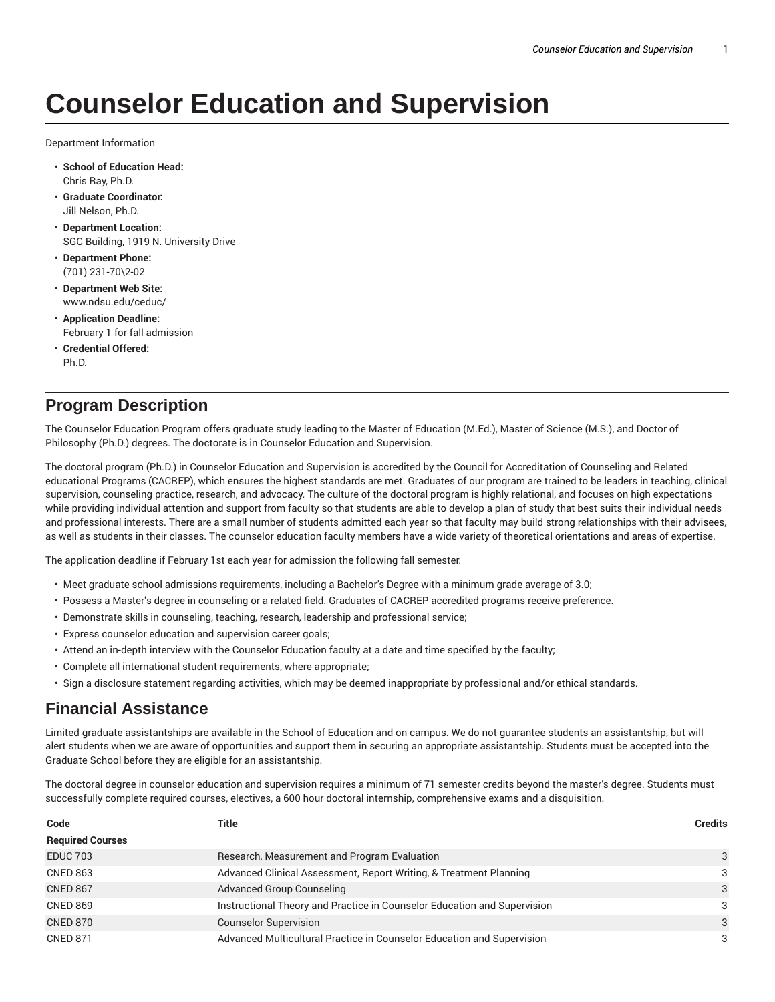# **Counselor Education and Supervision**

Department Information

- **School of Education Head:** Chris Ray, Ph.D.
- **Graduate Coordinator:** Jill Nelson, Ph.D.
- **Department Location:** SGC Building, 1919 N. University Drive
- **Department Phone:** (701) 231-70\2-02
- **Department Web Site:** www.ndsu.edu/ceduc/
- **Application Deadline:** February 1 for fall admission
- **Credential Offered:** Ph.D.

## **Program Description**

The Counselor Education Program offers graduate study leading to the Master of Education (M.Ed.), Master of Science (M.S.), and Doctor of Philosophy (Ph.D.) degrees. The doctorate is in Counselor Education and Supervision.

The doctoral program (Ph.D.) in Counselor Education and Supervision is accredited by the Council for Accreditation of Counseling and Related educational Programs (CACREP), which ensures the highest standards are met. Graduates of our program are trained to be leaders in teaching, clinical supervision, counseling practice, research, and advocacy. The culture of the doctoral program is highly relational, and focuses on high expectations while providing individual attention and support from faculty so that students are able to develop a plan of study that best suits their individual needs and professional interests. There are a small number of students admitted each year so that faculty may build strong relationships with their advisees, as well as students in their classes. The counselor education faculty members have a wide variety of theoretical orientations and areas of expertise.

The application deadline if February 1st each year for admission the following fall semester.

- Meet graduate school admissions requirements, including a Bachelor's Degree with a minimum grade average of 3.0;
- Possess a Master's degree in counseling or a related field. Graduates of CACREP accredited programs receive preference.
- Demonstrate skills in counseling, teaching, research, leadership and professional service;
- Express counselor education and supervision career goals;
- Attend an in-depth interview with the Counselor Education faculty at a date and time specified by the faculty;
- Complete all international student requirements, where appropriate;
- Sign a disclosure statement regarding activities, which may be deemed inappropriate by professional and/or ethical standards.

### **Financial Assistance**

Limited graduate assistantships are available in the School of Education and on campus. We do not guarantee students an assistantship, but will alert students when we are aware of opportunities and support them in securing an appropriate assistantship. Students must be accepted into the Graduate School before they are eligible for an assistantship.

The doctoral degree in counselor education and supervision requires a minimum of 71 semester credits beyond the master's degree. Students must successfully complete required courses, electives, a 600 hour doctoral internship, comprehensive exams and a disquisition.

| Code                    | Title                                                                    | <b>Credits</b> |
|-------------------------|--------------------------------------------------------------------------|----------------|
| <b>Required Courses</b> |                                                                          |                |
| <b>EDUC 703</b>         | Research, Measurement and Program Evaluation                             | 3              |
| <b>CNED 863</b>         | Advanced Clinical Assessment, Report Writing, & Treatment Planning       | 3              |
| <b>CNED 867</b>         | <b>Advanced Group Counseling</b>                                         | 3              |
| <b>CNED 869</b>         | Instructional Theory and Practice in Counselor Education and Supervision | 3              |
| <b>CNED 870</b>         | <b>Counselor Supervision</b>                                             | 3              |
| <b>CNED 871</b>         | Advanced Multicultural Practice in Counselor Education and Supervision   | 3              |